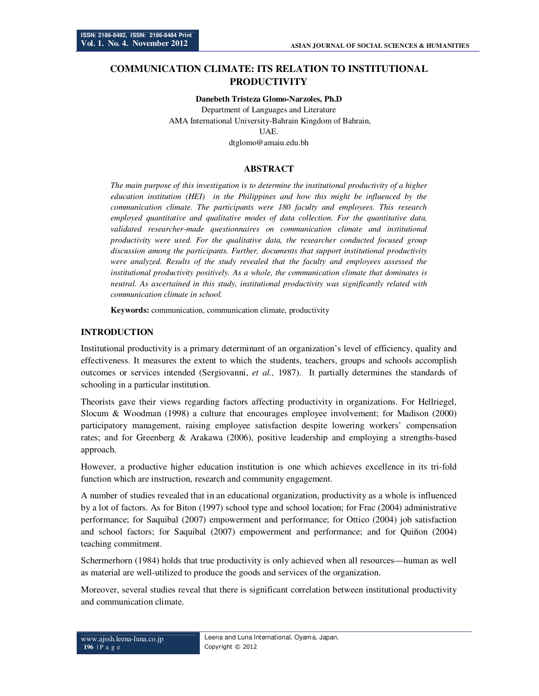# **COMMUNICATION CLIMATE: ITS RELATION TO INSTITUTIONAL PRODUCTIVITY**

#### **Danebeth Tristeza Glomo-Narzoles, Ph.D**

Department of Languages and Literature AMA International University-Bahrain Kingdom of Bahrain, UAE. dtglomo@amaiu.edu.bh

## **ABSTRACT**

*The main purpose of this investigation is to determine the institutional productivity of a higher education institution (HEI) in the Philippines and how this might be influenced by the communication climate. The participants were 180 faculty and employees. This research employed quantitative and qualitative modes of data collection. For the quantitative data, validated researcher-made questionnaires on communication climate and institutional productivity were used. For the qualitative data, the researcher conducted focused group discussion among the participants. Further, documents that support institutional productivity were analyzed. Results of the study revealed that the faculty and employees assessed the institutional productivity positively. As a whole, the communication climate that dominates is neutral. As ascertained in this study, institutional productivity was significantly related with communication climate in school.* 

**Keywords:** communication, communication climate, productivity

#### **INTRODUCTION**

Institutional productivity is a primary determinant of an organization's level of efficiency, quality and effectiveness. It measures the extent to which the students, teachers, groups and schools accomplish outcomes or services intended (Sergiovanni, *et al.,* 1987). It partially determines the standards of schooling in a particular institution.

Theorists gave their views regarding factors affecting productivity in organizations. For Hellriegel, Slocum & Woodman (1998) a culture that encourages employee involvement; for Madison (2000) participatory management, raising employee satisfaction despite lowering workers' compensation rates; and for Greenberg & Arakawa (2006), positive leadership and employing a strengths-based approach.

However, a productive higher education institution is one which achieves excellence in its tri-fold function which are instruction, research and community engagement.

A number of studies revealed that in an educational organization, productivity as a whole is influenced by a lot of factors. As for Biton (1997) school type and school location; for Frac (2004) administrative performance; for Saquibal (2007) empowerment and performance; for Ottico (2004) job satisfaction and school factors; for Saquibal (2007) empowerment and performance; and for Quiñon (2004) teaching commitment.

Schermerhorn (1984) holds that true productivity is only achieved when all resources—human as well as material are well-utilized to produce the goods and services of the organization.

Moreover, several studies reveal that there is significant correlation between institutional productivity and communication climate.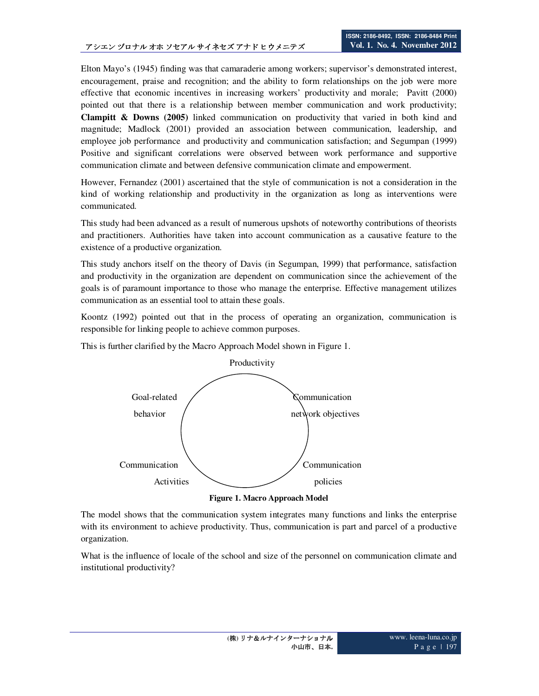Elton Mayo's (1945) finding was that camaraderie among workers; supervisor's demonstrated interest, encouragement, praise and recognition; and the ability to form relationships on the job were more effective that economic incentives in increasing workers' productivity and morale; Pavitt (2000) pointed out that there is a relationship between member communication and work productivity; **Clampitt & Downs (2005)** linked communication on productivity that varied in both kind and magnitude; Madlock (2001) provided an association between communication, leadership, and employee job performance and productivity and communication satisfaction; and Segumpan (1999) Positive and significant correlations were observed between work performance and supportive communication climate and between defensive communication climate and empowerment.

However, Fernandez (2001) ascertained that the style of communication is not a consideration in the kind of working relationship and productivity in the organization as long as interventions were communicated.

This study had been advanced as a result of numerous upshots of noteworthy contributions of theorists and practitioners. Authorities have taken into account communication as a causative feature to the existence of a productive organization.

This study anchors itself on the theory of Davis (in Segumpan, 1999) that performance, satisfaction and productivity in the organization are dependent on communication since the achievement of the goals is of paramount importance to those who manage the enterprise. Effective management utilizes communication as an essential tool to attain these goals.

Koontz (1992) pointed out that in the process of operating an organization, communication is responsible for linking people to achieve common purposes.



This is further clarified by the Macro Approach Model shown in Figure 1.



The model shows that the communication system integrates many functions and links the enterprise with its environment to achieve productivity. Thus, communication is part and parcel of a productive organization.

What is the influence of locale of the school and size of the personnel on communication climate and institutional productivity?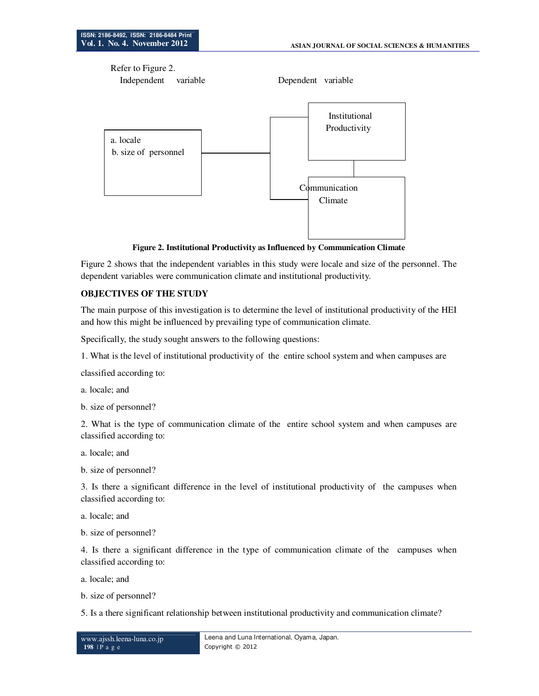Refer to Figure 2.



**Figure 2. Institutional Productivity as Influenced by Communication Climate** 

Figure 2 shows that the independent variables in this study were locale and size of the personnel. The dependent variables were communication climate and institutional productivity.

#### **OBJECTIVES OF THE STUDY**

The main purpose of this investigation is to determine the level of institutional productivity of the HEI and how this might be influenced by prevailing type of communication climate.

Specifically, the study sought answers to the following questions:

1. What is the level of institutional productivity of the entire school system and when campuses are

classified according to:

a. locale; and

b. size of personnel?

2. What is the type of communication climate of the entire school system and when campuses are classified according to:

a. locale; and

b. size of personnel?

3. Is there a significant difference in the level of institutional productivity of the campuses when classified according to:

a. locale; and

b. size of personnel?

4. Is there a significant difference in the type of communication climate of the campuses when classified according to:

a. locale; and

b. size of personnel?

5. Is a there significant relationship between institutional productivity and communication climate?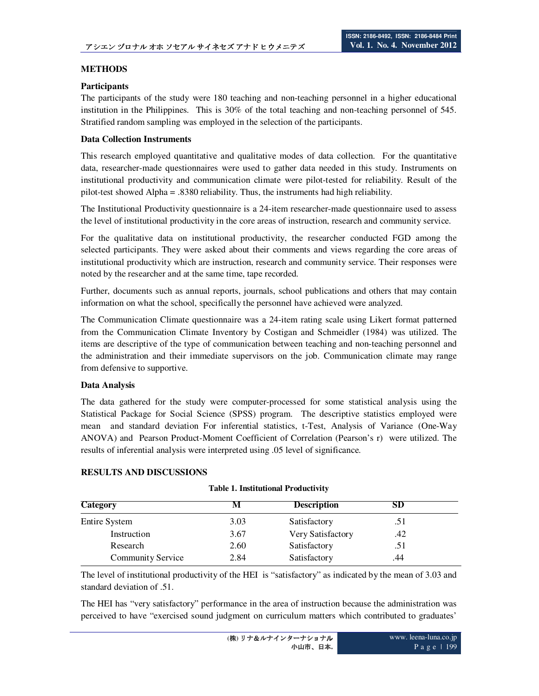## **METHODS**

## **Participants**

The participants of the study were 180 teaching and non-teaching personnel in a higher educational institution in the Philippines. This is 30% of the total teaching and non-teaching personnel of 545. Stratified random sampling was employed in the selection of the participants.

## **Data Collection Instruments**

This research employed quantitative and qualitative modes of data collection. For the quantitative data, researcher-made questionnaires were used to gather data needed in this study. Instruments on institutional productivity and communication climate were pilot-tested for reliability. Result of the pilot-test showed Alpha = .8380 reliability. Thus, the instruments had high reliability.

The Institutional Productivity questionnaire is a 24-item researcher-made questionnaire used to assess the level of institutional productivity in the core areas of instruction, research and community service.

For the qualitative data on institutional productivity, the researcher conducted FGD among the selected participants. They were asked about their comments and views regarding the core areas of institutional productivity which are instruction, research and community service. Their responses were noted by the researcher and at the same time, tape recorded.

Further, documents such as annual reports, journals, school publications and others that may contain information on what the school, specifically the personnel have achieved were analyzed.

The Communication Climate questionnaire was a 24-item rating scale using Likert format patterned from the Communication Climate Inventory by Costigan and Schmeidler (1984) was utilized. The items are descriptive of the type of communication between teaching and non-teaching personnel and the administration and their immediate supervisors on the job. Communication climate may range from defensive to supportive.

#### **Data Analysis**

The data gathered for the study were computer-processed for some statistical analysis using the Statistical Package for Social Science (SPSS) program. The descriptive statistics employed were mean and standard deviation For inferential statistics, t-Test, Analysis of Variance (One-Way ANOVA) and Pearson Product-Moment Coefficient of Correlation (Pearson's r) were utilized. The results of inferential analysis were interpreted using .05 level of significance.

#### **RESULTS AND DISCUSSIONS**

| <b>Category</b>   |      | <b>Description</b> | SD  |  |
|-------------------|------|--------------------|-----|--|
| Entire System     | 3.03 | Satisfactory       | .51 |  |
| Instruction       | 3.67 | Very Satisfactory  | .42 |  |
| Research          | 2.60 | Satisfactory       | .51 |  |
| Community Service | 2.84 | Satisfactory       | .44 |  |

#### **Table 1. Institutional Productivity**

The level of institutional productivity of the HEI is "satisfactory" as indicated by the mean of 3.03 and standard deviation of .51.

The HEI has "very satisfactory" performance in the area of instruction because the administration was perceived to have "exercised sound judgment on curriculum matters which contributed to graduates'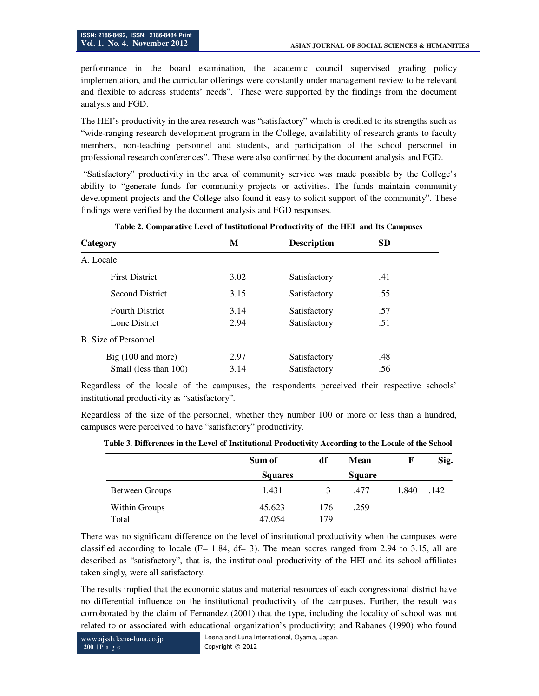performance in the board examination, the academic council supervised grading policy implementation, and the curricular offerings were constantly under management review to be relevant and flexible to address students' needs". These were supported by the findings from the document analysis and FGD.

The HEI's productivity in the area research was "satisfactory" which is credited to its strengths such as "wide-ranging research development program in the College, availability of research grants to faculty members, non-teaching personnel and students, and participation of the school personnel in professional research conferences". These were also confirmed by the document analysis and FGD.

 "Satisfactory" productivity in the area of community service was made possible by the College's ability to "generate funds for community projects or activities. The funds maintain community development projects and the College also found it easy to solicit support of the community". These findings were verified by the document analysis and FGD responses.

| Category                     | M    | <b>Description</b> | <b>SD</b> |
|------------------------------|------|--------------------|-----------|
| A. Locale                    |      |                    |           |
| <b>First District</b>        | 3.02 | Satisfactory       | .41       |
| <b>Second District</b>       | 3.15 | Satisfactory       | .55       |
| <b>Fourth District</b>       | 3.14 | Satisfactory       | .57       |
| Lone District                | 2.94 | Satisfactory       | .51       |
| B. Size of Personnel         |      |                    |           |
| Big $(100 \text{ and more})$ | 2.97 | Satisfactory       | .48       |
| Small (less than 100)        | 3.14 | Satisfactory       | .56       |

**Table 2. Comparative Level of Institutional Productivity of the HEI and Its Campuses** 

Regardless of the locale of the campuses, the respondents perceived their respective schools' institutional productivity as "satisfactory".

Regardless of the size of the personnel, whether they number 100 or more or less than a hundred, campuses were perceived to have "satisfactory" productivity.

|                       | Sum of         | df  | Mean          | $\mathbf{F}$ | Sig. |
|-----------------------|----------------|-----|---------------|--------------|------|
|                       | <b>Squares</b> |     | <b>Square</b> |              |      |
| <b>Between Groups</b> | 1.431          | 3   | .477          | 1.840        | .142 |
| <b>Within Groups</b>  | 45.623         | 176 | .259          |              |      |
| Total                 | 47.054         | 179 |               |              |      |

 **Table 3. Differences in the Level of Institutional Productivity According to the Locale of the School** 

There was no significant difference on the level of institutional productivity when the campuses were classified according to locale ( $F= 1.84$ ,  $df= 3$ ). The mean scores ranged from 2.94 to 3.15, all are described as "satisfactory", that is, the institutional productivity of the HEI and its school affiliates taken singly, were all satisfactory.

The results implied that the economic status and material resources of each congressional district have no differential influence on the institutional productivity of the campuses. Further, the result was corroborated by the claim of Fernandez (2001) that the type, including the locality of school was not related to or associated with educational organization's productivity; and Rabanes (1990) who found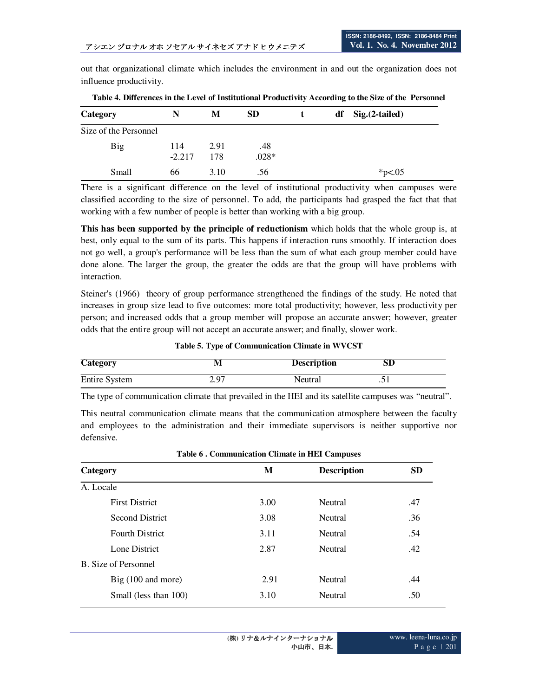out that organizational climate which includes the environment in and out the organization does not influence productivity.

| Category              | N               | М           | <b>SD</b>      |  | $df$ Sig. $(2-tailed)$ |
|-----------------------|-----------------|-------------|----------------|--|------------------------|
| Size of the Personnel |                 |             |                |  |                        |
| <b>Big</b>            | 114<br>$-2.217$ | 2.91<br>178 | .48<br>$.028*$ |  |                        |
| Small                 | 66              | 3.10        | .56            |  | * $p<.05$              |

**Table 4. Differences in the Level of Institutional Productivity According to the Size of the Personnel** 

There is a significant difference on the level of institutional productivity when campuses were classified according to the size of personnel. To add, the participants had grasped the fact that that working with a few number of people is better than working with a big group.

**This has been supported by the principle of reductionism** which holds that the whole group is, at best, only equal to the sum of its parts. This happens if interaction runs smoothly. If interaction does not go well, a group's performance will be less than the sum of what each group member could have done alone. The larger the group, the greater the odds are that the group will have problems with interaction.

Steiner's (1966) theory of group performance strengthened the findings of the study. He noted that increases in group size lead to five outcomes: more total productivity; however, less productivity per person; and increased odds that a group member will propose an accurate answer; however, greater odds that the entire group will not accept an accurate answer; and finally, slower work.

**Table 5. Type of Communication Climate in WVCST** 

| <b>Category</b> |               | <b>Description</b> | SD        |
|-----------------|---------------|--------------------|-----------|
| Entire System   | $\lambda$ 0.7 | Neutral            | $\cdot$ . |

The type of communication climate that prevailed in the HEI and its satellite campuses was "neutral".

This neutral communication climate means that the communication atmosphere between the faculty and employees to the administration and their immediate supervisors is neither supportive nor defensive.

| Table o . Communication Chinate in First Campuses |      |                    |           |  |  |
|---------------------------------------------------|------|--------------------|-----------|--|--|
| Category                                          | M    | <b>Description</b> | <b>SD</b> |  |  |
| A. Locale                                         |      |                    |           |  |  |
| <b>First District</b>                             | 3.00 | Neutral            | .47       |  |  |
| <b>Second District</b>                            | 3.08 | <b>Neutral</b>     | .36       |  |  |
| <b>Fourth District</b>                            | 3.11 | <b>Neutral</b>     | .54       |  |  |
| Lone District                                     | 2.87 | Neutral            | .42       |  |  |
| B. Size of Personnel                              |      |                    |           |  |  |
| $Big(100$ and more)                               | 2.91 | <b>Neutral</b>     | .44       |  |  |
| Small (less than 100)                             | 3.10 | Neutral            | .50       |  |  |

**Table 6 . Communication Climate in HEI Campuses**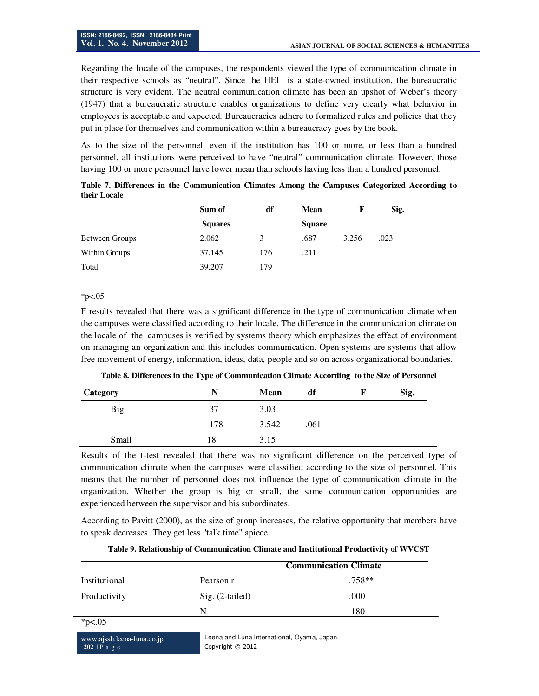Regarding the locale of the campuses, the respondents viewed the type of communication climate in their respective schools as "neutral". Since the HEI is a state-owned institution, the bureaucratic structure is very evident. The neutral communication climate has been an upshot of Weber's theory (1947) that a bureaucratic structure enables organizations to define very clearly what behavior in employees is acceptable and expected. Bureaucracies adhere to formalized rules and policies that they put in place for themselves and communication within a bureaucracy goes by the book.

As to the size of the personnel, even if the institution has 100 or more, or less than a hundred personnel, all institutions were perceived to have "neutral" communication climate. However, those having 100 or more personnel have lower mean than schools having less than a hundred personnel.

|                | Sum of         | df  | <b>Mean</b>   | F     | Sig. |
|----------------|----------------|-----|---------------|-------|------|
|                | <b>Squares</b> |     | <b>Square</b> |       |      |
| Between Groups | 2.062          | 3   | .687          | 3.256 | .023 |
| Within Groups  | 37.145         | 176 | .211          |       |      |
| Total          | 39.207         | 179 |               |       |      |

**Table 7. Differences in the Communication Climates Among the Campuses Categorized According to their Locale** 

#### $*p<.05$

F results revealed that there was a significant difference in the type of communication climate when the campuses were classified according to their locale. The difference in the communication climate on the locale of the campuses is verified by systems theory which emphasizes the effect of environment on managing an organization and this includes communication. Open systems are systems that allow free movement of energy, information, ideas, data, people and so on across organizational boundaries.

|              | --  |       |      |      |
|--------------|-----|-------|------|------|
| Category     | N   | Mean  | df   | Sig. |
| Big          | 37  | 3.03  |      |      |
|              | 178 | 3.542 | .061 |      |
| <b>Small</b> | 18  | 3.15  |      |      |

**Table 8. Differences in the Type of Communication Climate According to the Size of Personnel** 

Results of the t-test revealed that there was no significant difference on the perceived type of communication climate when the campuses were classified according to the size of personnel. This means that the number of personnel does not influence the type of communication climate in the organization. Whether the group is big or small, the same communication opportunities are experienced between the supervisor and his subordinates.

According to Pavitt (2000), as the size of group increases, the relative opportunity that members have to speak decreases. They get less "talk time" apiece.

| Table 9. Relationship of Communication Climate and Institutional Productivity of WVCST |  |  |  |  |  |  |  |
|----------------------------------------------------------------------------------------|--|--|--|--|--|--|--|
|----------------------------------------------------------------------------------------|--|--|--|--|--|--|--|

|               |                 | <b>Communication Climate</b> |
|---------------|-----------------|------------------------------|
| Institutional | Pearson r       | $.758**$                     |
| Productivity  | Sig. (2-tailed) | .000                         |
|               | N               | 180                          |

 $*p<.05$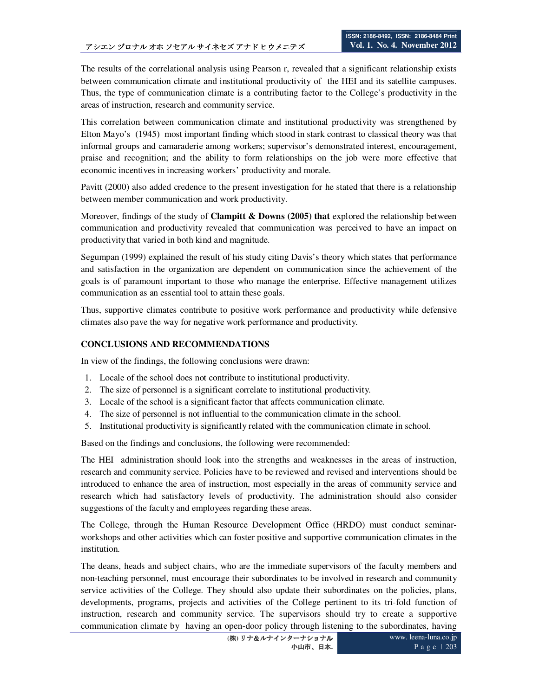The results of the correlational analysis using Pearson r, revealed that a significant relationship exists between communication climate and institutional productivity of the HEI and its satellite campuses. Thus, the type of communication climate is a contributing factor to the College's productivity in the areas of instruction, research and community service.

This correlation between communication climate and institutional productivity was strengthened by Elton Mayo's (1945) most important finding which stood in stark contrast to classical theory was that informal groups and camaraderie among workers; supervisor's demonstrated interest, encouragement, praise and recognition; and the ability to form relationships on the job were more effective that economic incentives in increasing workers' productivity and morale.

Pavitt (2000) also added credence to the present investigation for he stated that there is a relationship between member communication and work productivity.

Moreover, findings of the study of **Clampitt & Downs (2005) that** explored the relationship between communication and productivity revealed that communication was perceived to have an impact on productivitythat varied in both kind and magnitude.

Segumpan (1999) explained the result of his study citing Davis's theory which states that performance and satisfaction in the organization are dependent on communication since the achievement of the goals is of paramount important to those who manage the enterprise. Effective management utilizes communication as an essential tool to attain these goals.

Thus, supportive climates contribute to positive work performance and productivity while defensive climates also pave the way for negative work performance and productivity.

# **CONCLUSIONS AND RECOMMENDATIONS**

In view of the findings, the following conclusions were drawn:

- 1. Locale of the school does not contribute to institutional productivity.
- 2. The size of personnel is a significant correlate to institutional productivity.
- 3. Locale of the school is a significant factor that affects communication climate.
- 4. The size of personnel is not influential to the communication climate in the school.
- 5. Institutional productivity is significantly related with the communication climate in school.

Based on the findings and conclusions, the following were recommended:

The HEI administration should look into the strengths and weaknesses in the areas of instruction, research and community service. Policies have to be reviewed and revised and interventions should be introduced to enhance the area of instruction, most especially in the areas of community service and research which had satisfactory levels of productivity. The administration should also consider suggestions of the faculty and employees regarding these areas.

The College, through the Human Resource Development Office (HRDO) must conduct seminarworkshops and other activities which can foster positive and supportive communication climates in the institution.

The deans, heads and subject chairs, who are the immediate supervisors of the faculty members and non-teaching personnel, must encourage their subordinates to be involved in research and community service activities of the College. They should also update their subordinates on the policies, plans, developments, programs, projects and activities of the College pertinent to its tri-fold function of instruction, research and community service. The supervisors should try to create a supportive communication climate by having an open-door policy through listening to the subordinates, having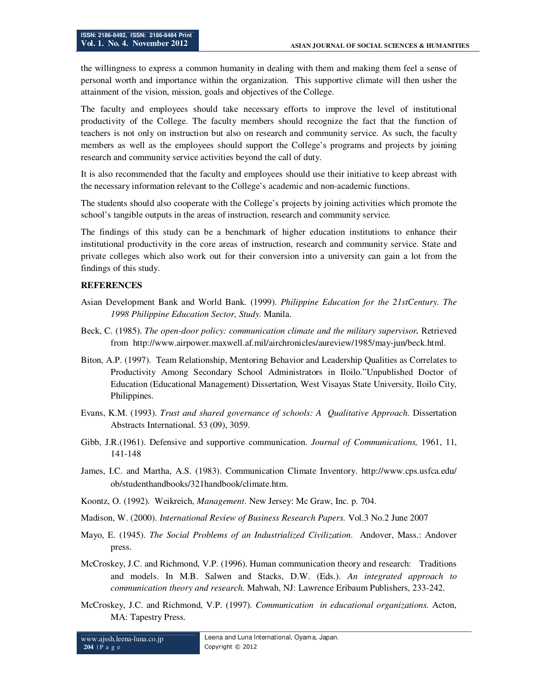the willingness to express a common humanity in dealing with them and making them feel a sense of personal worth and importance within the organization. This supportive climate will then usher the attainment of the vision, mission, goals and objectives of the College.

The faculty and employees should take necessary efforts to improve the level of institutional productivity of the College. The faculty members should recognize the fact that the function of teachers is not only on instruction but also on research and community service. As such, the faculty members as well as the employees should support the College's programs and projects by joining research and community service activities beyond the call of duty.

It is also recommended that the faculty and employees should use their initiative to keep abreast with the necessary information relevant to the College's academic and non-academic functions.

The students should also cooperate with the College's projects by joining activities which promote the school's tangible outputs in the areas of instruction, research and community service.

The findings of this study can be a benchmark of higher education institutions to enhance their institutional productivity in the core areas of instruction, research and community service. State and private colleges which also work out for their conversion into a university can gain a lot from the findings of this study.

#### **REFERENCES**

- Asian Development Bank and World Bank. (1999). *Philippine Education for the 21stCentury. The 1998 Philippine Education Sector, Study.* Manila.
- Beck, C. (1985). *The open-door policy: communication climate and the military supervisor.* Retrieved fromhttp://www.airpower.maxwell.af.mil/airchronicles/aureview/1985/may-jun/beck.html.
- Biton, A.P. (1997). Team Relationship, Mentoring Behavior and Leadership Qualities as Correlates to Productivity Among Secondary School Administrators in Iloilo."Unpublished Doctor of Education (Educational Management) Dissertation, West Visayas State University, Iloilo City, Philippines.
- Evans, K.M. (1993). *Trust and shared governance of schools: A Qualitative Approach.* Dissertation Abstracts International. 53 (09), 3059.
- Gibb, J.R.(1961). Defensive and supportive communication. *Journal of Communications,* 1961, 11, 141-148
- James, I.C. and Martha, A.S. (1983). Communication Climate Inventory. http://www.cps.usfca.edu/ ob/studenthandbooks/321handbook/climate.htm.
- Koontz, O. (1992). Weikreich, *Management*. New Jersey: Mc Graw, Inc. p. 704.
- Madison, W. (2000). *International Review of Business Research Papers.* Vol.3 No.2 June 2007
- Mayo, E. (1945). *The Social Problems of an Industrialized Civilization*. Andover, Mass.: Andover press.
- McCroskey, J.C. and Richmond, V.P. (1996). Human communication theory and research: Traditions and models. In M.B. Salwen and Stacks, D.W. (Eds.). *An integrated approach to communication theory and research.* Mahwah, NJ: Lawrence Eribaum Publishers, 233-242.
- McCroskey, J.C. and Richmond, V.P. (1997). *Communication in educational organizations.* Acton, MA: Tapestry Press.